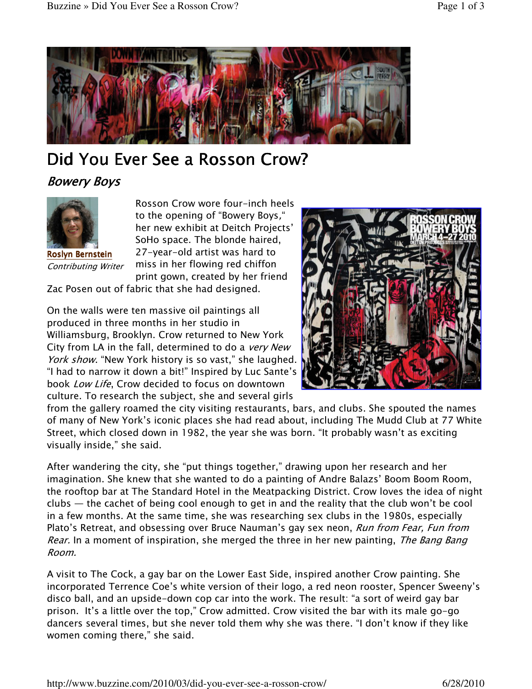

## Did You Ever See a Rosson Crow?

**Bowery Boys** 



Roslyn Bernstein Contributing Writer

Rosson Crow wore four-inch heels to the opening of "Bowery Boys," her new exhibit at Deitch Projects' SoHo space. The blonde haired, 27-year-old artist was hard to miss in her flowing red chiffon print gown, created by her friend

Zac Posen out of fabric that she had designed.

On the walls were ten massive oil paintings all produced in three months in her studio in Williamsburg, Brooklyn. Crow returned to New York City from LA in the fall, determined to do a *very New* York show. "New York history is so vast," she laughed. "I had to narrow it down a bit!" Inspired by Luc Sante's book Low Life, Crow decided to focus on downtown culture. To research the subject, she and several girls



from the gallery roamed the city visiting restaurants, bars, and clubs. She spouted the names of many of New York's iconic places she had read about, including The Mudd Club at 77 White Street, which closed down in 1982, the year she was born. "It probably wasn't as exciting visually inside," she said.

After wandering the city, she "put things together," drawing upon her research and her imagination. She knew that she wanted to do a painting of Andre Balazs' Boom Boom Room, the rooftop bar at The Standard Hotel in the Meatpacking District. Crow loves the idea of night clubs — the cachet of being cool enough to get in and the reality that the club won't be cool in a few months. At the same time, she was researching sex clubs in the 1980s, especially Plato's Retreat, and obsessing over Bruce Nauman's gay sex neon, *Run from Fear, Fun from* Rear. In a moment of inspiration, she merged the three in her new painting, The Bang Bang Room.

A visit to The Cock, a gay bar on the Lower East Side, inspired another Crow painting. She incorporated Terrence Coe's white version of their logo, a red neon rooster, Spencer Sweeny's disco ball, and an upside-down cop car into the work. The result: "a sort of weird gay bar prison. It's a little over the top," Crow admitted. Crow visited the bar with its male go-go dancers several times, but she never told them why she was there. "I don't know if they like women coming there," she said.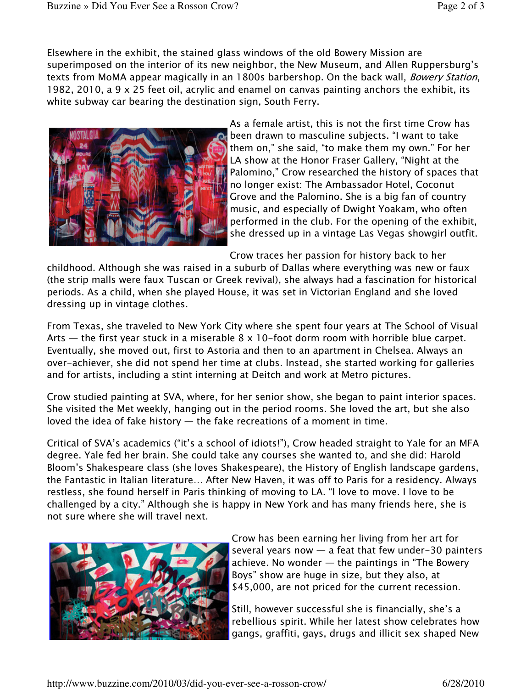Elsewhere in the exhibit, the stained glass windows of the old Bowery Mission are superimposed on the interior of its new neighbor, the New Museum, and Allen Ruppersburg's texts from MoMA appear magically in an 1800s barbershop. On the back wall, *Bowery Station*, 1982, 2010, a 9 x 25 feet oil, acrylic and enamel on canvas painting anchors the exhibit, its white subway car bearing the destination sign, South Ferry.



As a female artist, this is not the first time Crow has been drawn to masculine subjects. "I want to take them on," she said, "to make them my own." For her LA show at the Honor Fraser Gallery, "Night at the Palomino," Crow researched the history of spaces that no longer exist: The Ambassador Hotel, Coconut Grove and the Palomino. She is a big fan of country music, and especially of Dwight Yoakam, who often performed in the club. For the opening of the exhibit, she dressed up in a vintage Las Vegas showgirl outfit.

Crow traces her passion for history back to her

childhood. Although she was raised in a suburb of Dallas where everything was new or faux (the strip malls were faux Tuscan or Greek revival), she always had a fascination for historical periods. As a child, when she played House, it was set in Victorian England and she loved dressing up in vintage clothes.

From Texas, she traveled to New York City where she spent four years at The School of Visual Arts  $-$  the first year stuck in a miserable  $8 \times 10$ -foot dorm room with horrible blue carpet. Eventually, she moved out, first to Astoria and then to an apartment in Chelsea. Always an over-achiever, she did not spend her time at clubs. Instead, she started working for galleries and for artists, including a stint interning at Deitch and work at Metro pictures.

Crow studied painting at SVA, where, for her senior show, she began to paint interior spaces. She visited the Met weekly, hanging out in the period rooms. She loved the art, but she also loved the idea of fake history  $-$  the fake recreations of a moment in time.

Critical of SVA's academics ("it's a school of idiots!"), Crow headed straight to Yale for an MFA degree. Yale fed her brain. She could take any courses she wanted to, and she did: Harold Bloom's Shakespeare class (she loves Shakespeare), the History of English landscape gardens, the Fantastic in Italian literature… After New Haven, it was off to Paris for a residency. Always restless, she found herself in Paris thinking of moving to LA. "I love to move. I love to be challenged by a city." Although she is happy in New York and has many friends here, she is not sure where she will travel next.



Crow has been earning her living from her art for several years now  $-$  a feat that few under-30 painters achieve. No wonder  $-$  the paintings in "The Bowery Boys" show are huge in size, but they also, at \$45,000, are not priced for the current recession.

Still, however successful she is financially, she's a rebellious spirit. While her latest show celebrates how gangs, graffiti, gays, drugs and illicit sex shaped New